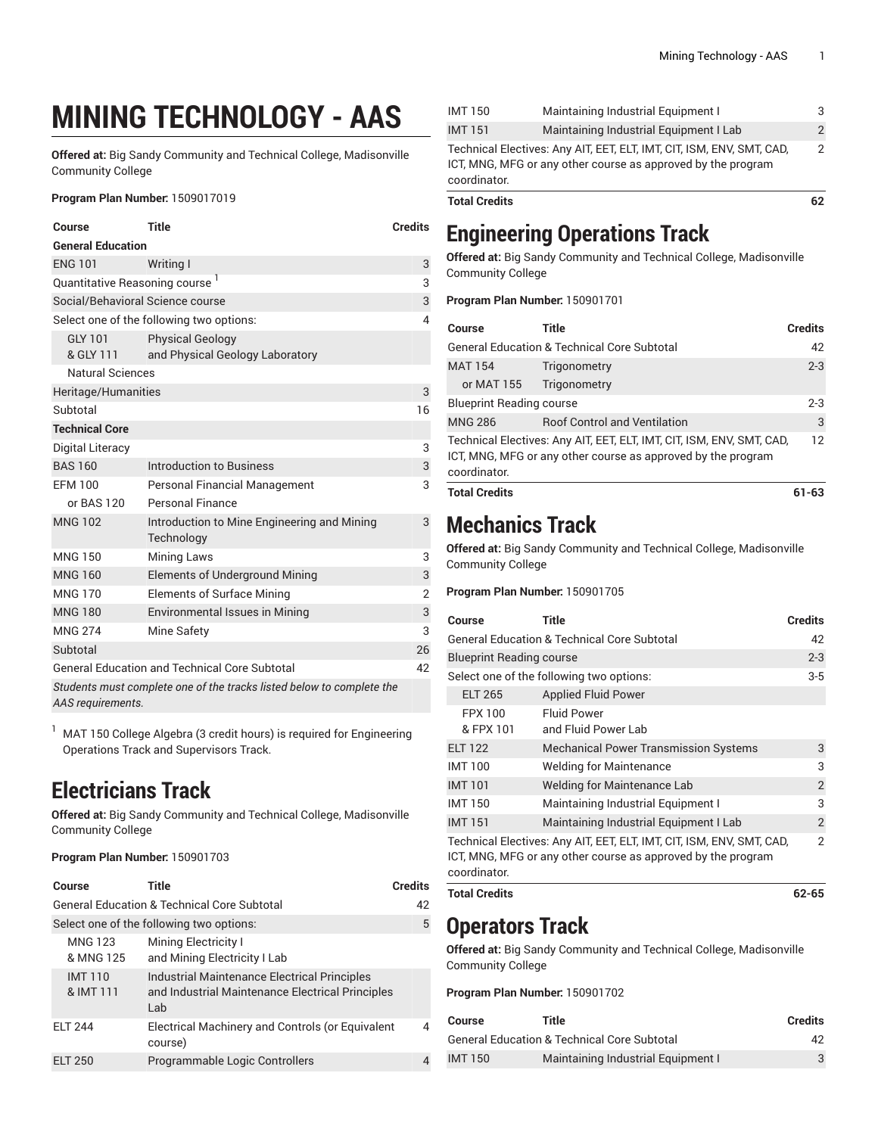# **MINING TECHNOLOGY - AAS**

**Offered at:** Big Sandy Community and Technical College, Madisonville Community College

#### **Program Plan Number:** 1509017019

| Course                                     | Title                                                                 | <b>Credits</b> |  |
|--------------------------------------------|-----------------------------------------------------------------------|----------------|--|
| <b>General Education</b>                   |                                                                       |                |  |
| <b>ENG 101</b>                             | Writing I                                                             | 3              |  |
| Quantitative Reasoning course <sup>1</sup> |                                                                       | 3              |  |
| Social/Behavioral Science course           |                                                                       | 3              |  |
|                                            | Select one of the following two options:                              | 4              |  |
| <b>GLY 101</b><br>& GLY 111                | <b>Physical Geology</b><br>and Physical Geology Laboratory            |                |  |
| <b>Natural Sciences</b>                    |                                                                       |                |  |
| Heritage/Humanities                        |                                                                       | 3              |  |
| Subtotal                                   |                                                                       | 16             |  |
| <b>Technical Core</b>                      |                                                                       |                |  |
| Digital Literacy                           |                                                                       | 3              |  |
| <b>BAS 160</b>                             | Introduction to Business                                              | 3              |  |
| <b>FFM 100</b>                             | Personal Financial Management                                         | 3              |  |
| or BAS 120                                 | Personal Finance                                                      |                |  |
| <b>MNG 102</b>                             | Introduction to Mine Engineering and Mining<br>Technology             | 3              |  |
| <b>MNG 150</b>                             | <b>Mining Laws</b>                                                    | 3              |  |
| <b>MNG 160</b>                             | Elements of Underground Mining                                        | 3              |  |
| <b>MNG 170</b>                             | <b>Elements of Surface Mining</b>                                     | $\overline{2}$ |  |
| <b>MNG 180</b>                             | <b>Environmental Issues in Mining</b>                                 | 3              |  |
| <b>MNG 274</b>                             | Mine Safety                                                           | 3              |  |
| Subtotal                                   |                                                                       | 26             |  |
|                                            | <b>General Education and Technical Core Subtotal</b>                  | 42             |  |
| AAS requirements.                          | Students must complete one of the tracks listed below to complete the |                |  |

 $1$  MAT 150 College Algebra (3 credit hours) is required for Engineering Operations Track and Supervisors Track.

## **Electricians Track**

**Offered at:** Big Sandy Community and Technical College, Madisonville Community College

**Program Plan Number:** 150901703

| Course                      | Title                                                                                                          | <b>Credits</b> |
|-----------------------------|----------------------------------------------------------------------------------------------------------------|----------------|
|                             | <b>General Education &amp; Technical Core Subtotal</b>                                                         | 42             |
|                             | Select one of the following two options:                                                                       | 5              |
| <b>MNG 123</b><br>& MNG 125 | <b>Mining Electricity I</b><br>and Mining Electricity I Lab                                                    |                |
| <b>IMT110</b><br>& IMT 111  | <b>Industrial Maintenance Electrical Principles</b><br>and Industrial Maintenance Electrical Principles<br>Lab |                |
| <b>ELT 244</b>              | Electrical Machinery and Controls (or Equivalent<br>course)                                                    | 4              |
| FIT 250                     | Programmable Logic Controllers                                                                                 | 4              |

| <b>Total Credits</b>                                                         |                                        |               |
|------------------------------------------------------------------------------|----------------------------------------|---------------|
| ICT, MNG, MFG or any other course as approved by the program<br>coordinator. |                                        |               |
| Technical Electives: Any AIT, EET, ELT, IMT, CIT, ISM, ENV, SMT, CAD,        |                                        |               |
| <b>IMT151</b>                                                                | Maintaining Industrial Equipment I Lab | $\mathcal{P}$ |
| <b>IMT150</b>                                                                | Maintaining Industrial Equipment I     |               |

### **Engineering Operations Track**

**Offered at:** Big Sandy Community and Technical College, Madisonville Community College

**Program Plan Number:** 150901701

| Course                          | Title                                                                                                                                 | <b>Credits</b>  |
|---------------------------------|---------------------------------------------------------------------------------------------------------------------------------------|-----------------|
|                                 | <b>General Education &amp; Technical Core Subtotal</b>                                                                                | 42              |
| <b>MAT 154</b><br>or MAT 155    | Trigonometry<br>Trigonometry                                                                                                          | $2 - 3$         |
| <b>Blueprint Reading course</b> |                                                                                                                                       | $2 - 3$         |
| <b>MNG 286</b>                  | <b>Roof Control and Ventilation</b>                                                                                                   | 3               |
| coordinator.                    | Technical Electives: Any AIT, EET, ELT, IMT, CIT, ISM, ENV, SMT, CAD,<br>ICT, MNG, MFG or any other course as approved by the program | 12 <sup>°</sup> |
| <b>Total Credits</b>            |                                                                                                                                       | 61-63           |

## **Mechanics Track**

**Offered at:** Big Sandy Community and Technical College, Madisonville Community College

#### **Program Plan Number:** 150901705

| Course                                                                                                                                                | Title                                                  | <b>Credits</b> |
|-------------------------------------------------------------------------------------------------------------------------------------------------------|--------------------------------------------------------|----------------|
|                                                                                                                                                       | <b>General Education &amp; Technical Core Subtotal</b> | 42             |
| <b>Blueprint Reading course</b>                                                                                                                       |                                                        | $2 - 3$        |
|                                                                                                                                                       | Select one of the following two options:               | $3-5$          |
| <b>ELT 265</b>                                                                                                                                        | <b>Applied Fluid Power</b>                             |                |
| FPX 100                                                                                                                                               | <b>Fluid Power</b>                                     |                |
| & FPX 101                                                                                                                                             | and Fluid Power Lab                                    |                |
| <b>ELT 122</b>                                                                                                                                        | <b>Mechanical Power Transmission Systems</b>           | 3              |
| <b>IMT 100</b>                                                                                                                                        | <b>Welding for Maintenance</b>                         | 3              |
| <b>IMT101</b>                                                                                                                                         | <b>Welding for Maintenance Lab</b>                     | $\overline{2}$ |
| <b>IMT150</b>                                                                                                                                         | Maintaining Industrial Equipment I                     | 3              |
| <b>IMT151</b>                                                                                                                                         | Maintaining Industrial Equipment I Lab                 | 2              |
| Technical Electives: Any AIT, EET, ELT, IMT, CIT, ISM, ENV, SMT, CAD,<br>ICT, MNG, MFG or any other course as approved by the program<br>coordinator. |                                                        | 2              |

**Total Credits 62-65**

#### **Operators Track**

**Offered at:** Big Sandy Community and Technical College, Madisonville Community College

**Program Plan Number:** 150901702

| Course  | Title                                                  | <b>Credits</b> |
|---------|--------------------------------------------------------|----------------|
|         | <b>General Education &amp; Technical Core Subtotal</b> | 42             |
| IMT 150 | Maintaining Industrial Equipment I                     |                |